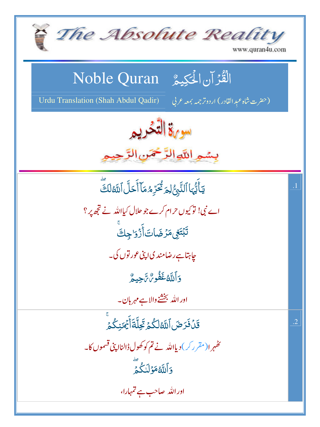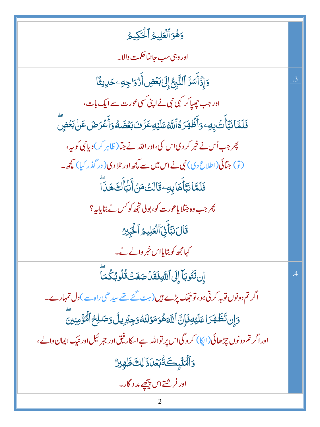دَهُوَٱلۡعَلِيمُ ٱلۡكِيمُ

اور وبي سب حانتاھكمت والا۔

 $\overline{3}$ 

 $\overline{A}$ 

دَإِذۡأَسَرَّ ٱلنَّبِىُّۚ إِلَىٰل**َحۡضِ**ۚ أَرۡوَا جِهِۦ حَلِيشَٗا اور جب *چھپاکر* کہی نبی نے اپنی *کسی عور*ت سے ایک بات، فَلَمَّا نَبَّأَّتُ بِهِ وَأَظۡهَرَهُۚ اللَّهُ عَلَيۡهِ عَرَّ فَ بَعۡضَهُ وَأَعۡرَضَ عَنۡ بَعۡضٍ پھر جب اُس نے خبر کر دی اس کی،اور اللہ نے جبا( ظاہر کر) دیانی کو بیہ، (تو) جتائی (اطلاع دی) نبی نے اس میں سے پچھ اور ٹلادی (در گذر کیا) کچھ۔ ڣٙڶٙڡۜٞٵؘٮڹۜٲۜۿؘٳۑڡؚٷؘٲڶٮؘ۠ٙڡؘڽٙٲۧڹؗٵؘؙۧڬؖۿۮؘٲؖ پھر جب وہ جتلا یاعورت کو، بولی تجھ کو *کس نے* بتایا ہہ ؟ قَالَ نَبَّأَنِّ ٱلْعَلِيمُ ٱلْحَبِيرُ کہامجھ کو بتایااس خمر والے نے۔

إِن تَتُوبَآ إِلَى ٱللَّهِ فَقَلُ صَغَتَ قُلُوبُكُمَّا

اگر تم دونوں توبہ کرتی ہو،تو جھک پڑے ہیں (ہٹ گئے تھے سید ھی راہ سے ) دل تمہارے۔ <u>وَإِن تَظَهَرَ اعَلَيْهِ فَإِنَّ اللَّهَهُوَ مَوْلَدُهُ وَجِبُرِيلُ وَصَلِحُ ٱلْمُؤْمِنِينَ</u> اور اگر تم دونوں چڑھائی (ایکا) کروگی اس پر نواللہ ہے اسکار فیق اور جمر ئیل اور نیک ایمان والے ، **وَٱلۡتَلۡبِكَةُبَعۡلَ ذَٰ ٰلِكَ ظَهِيرٌ**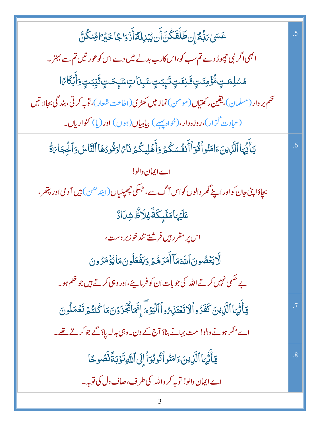| عَسَىٰ بَبُّهُ إِن <b>طَلَّقَكُنَّ أَن يُبْدِلَهُ أَزْدَا جَا خَبْرَ</b> اقِنكُنَّ                     | .5              |
|--------------------------------------------------------------------------------------------------------|-----------------|
| ابھی اگر نبی چھوڑ دے تم سب کو،اس کارب بد لے میں دے اس کو عور تیں تم سے بہتر۔                           |                 |
| ۿۺڸڡؘؾٟ؋۠۠ؗٷٛڡؚٸٙؾٟۊؘۧڹٸؾٟڷؘؠٟۧۑڹؾٟ؏ۑؚۨڵؾٟڛۜٙؠؚؚؚٟۣڝؾٟڗ۬ٞؾۣڹؾٟۅؘٲۨڹؘڰؘٲ؆ٲ                              |                 |
| حکم بر دار (مسلمان)،یقین رکھتیاں (مومن) نماز میں کھڑی (اطاعت شعار)،توبہ کرتی، بند گی بجالا تیں         |                 |
| (عبادت گزار)،روزه دار،(خواه <u>بهل</u> ے) بیاہیاں(ہوں) اور(پا) <b>کنواریاں۔</b>                        |                 |
| يَأَيُّهَا ٱلَّذِينَءَامَنُواۡقُوٓأَأَنفُسَكُمۡ وَأَهۡلِيكُمۡ نَآءًاوَقُودُهَا ٱلنَّاسُ وَٱلۡلِجَاءَةُ | .6              |
| اے ایمان دالو!                                                                                         |                 |
| بچاؤاپنی جان کواور اپنے گھر والوں کواس آگ سے، جسکی چھپٹیاں (ایند ھن) ہیں آدمی اور پتھر ،               |                 |
| ؗڡؘڶ <i>ؿ</i> ؠؘٵڡؘڶ <sub>ۧ</sub> ۑؚػۘڐٞ۠ۼؚڶٲڟ۠ۺ <sub>۫</sub> ڷٳڐٛ                                     |                 |
| اس پر مقرر <sup>ہ</sup> یں فرشتے تندخو زبر دست،                                                        |                 |
| لَّايَعۡصُونَ ٱللَّهَمَاۤ أَمَرَهُمۡ وَيَفۡعَلُونَمَا يُؤۡمَرُونَ                                      |                 |
| بے حکمی نہیں کرتے اللہ کی جو بات ان کو فرمایئے،اور وہی کرتے ہیں جو حکم ہو۔                             |                 |
| يَأَيُّهَا ٱلَّذِينَ كَفَرُواۡلَاتَعۡتَذِيۡ وَٱٱلۡيَوۡمَّ إِنَّمَائُجُزَوۡنَ مَا كُنتُمۡ تَعۡمَلُونَ   | .7              |
| اے منکر ہونے والو! مت بہانے بناؤ آج کے دن۔وہی بدلہ پاؤ گے جو کرتے تھے۔                                 |                 |
| يَأَيُّهَا ٱلَّذِينَ ءَامَنُو ٱتُوبُوٓ أَإِلَى ٱللَّهِ تَوۡبَةَ نَّصُوحًا                              | $\overline{.8}$ |
| اے ایمان والو! توبہ کر واللہ کی طرف،صاف دل کی توبہ۔                                                    |                 |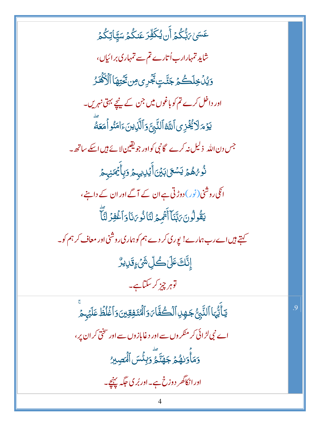عَسَىٰ ِمَنَّكُمۡ أَن يُكَفِّرَ عَنكُمۡ سَيَّاتِكُمۡ ۚ شاید تمہارارب اُتارے تم سے تمہاری برائیاں، دَيْدُ خِلَكُمۡ جَنَّتِ تَجۡرِى مِن تَحۡتِهَا ٱلۡأَكۡفَـٰرُ اور داخل کرے تم کو باغوں میں جن کے نیچے بہتی نہریں۔ يَوْمَ لَا يُُخْزِى ٱللَّهُ ٱلنَّبِيَّ وَٱلَّذِينَ ءَامَنُو أَمَعَهُ جس دن الله ذلیل نه کرے گانبی کواور جویقین لائے ہیں اسکے ساتھ ۔ ڹ<br>ۮ۠*ۯ؇ۿ۠ؽ۬*ێۺ*ڰ*ؘڸڹؽٙڽؘٲۨؽ۬ڸڸۑٮۿ؋ڹٲۨٛؿؙ*ڰڐ*ۣڹڂ انگی روشنی (نور) دوڑتی ہے ان کے آگے اور ان کے داننے، يَقُولُونَ يَبَّنَآ أَنۡهُمۡ لَنَاٰ نُوِيَٰنَاۚ وَٱغۡفِرۡ لَنَّآ کہتے ہیں اے رب ہمارے! یوری کر دے ہم کو ہماری روشنی اور معاف کر ہم کو۔ ٳۣڹؖ۠ۜڮؘٷٙڸ؎ؙڵۣۺؘٛۦؚٟۊؘڸؠڒ۠ توہر چز کر سکتاہے۔ يَأَيُّهَا ٱلنَّبِنُّ جَهِدِ ٱلۡكُفَّاۤاَ وَٱلۡمُنَفِقِينَ وَٱغۡلُظۡ عَلَيۡهِ مَرۡ اے نبی لڑ ائی کر منکر وں سے اور دغابازوں سے اور سختی کر ان پر ،

9

وَمَأۡوَلٰهُمۡ جَهَنَّمۡۚ وَبِئۡسَ ٱلۡصِٰبِرُ

اور انکاگھر دوزخ ہے۔اور بُر کی جگہ پہنچے۔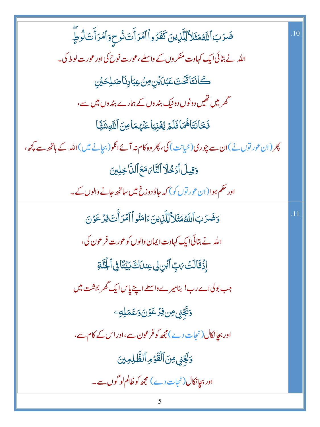| ضَرَبَ ٱللَّهُمَثَلاً لِلَّذِينَ كَفَرُواُ ٱمۡرَأَتَ نُوحِوَٱمۡرَأَتَ لَوۡطٍ ۖ              | .10 |
|---------------------------------------------------------------------------------------------|-----|
| اللہ نے بتائی ایک کہاوت منکر وں کے واسطے،عورت نوح کی اور عورت لوط کی۔                       |     |
| ڪَان <i>تَ</i> ا <i>تَّخُتَ عَبْدَيْنِ مِنْ عِبَادِنَا صَلِحَيْنِ</i>                       |     |
| گھر میں تھیں دونوں دونیک بندوں کے ہمارے بندوں میں سے،                                       |     |
| فَخَانَتَاهُمَافَلَمَ يُغْنِيَاعَنَّهُمَامِنَ ٱللَّهِشَيَّا                                 |     |
| چر (ان عور توں نے)ان سے چوری(خیانت) کی، چر وہ کام نہ آئےانکو(بچانے میں)اللہ کے ہاتھ سے پچھ، |     |
| وَقِيلَ أَدُخُلَا ٱلتَّاَىَ مَعَ ٱللَّا خِلِينَ                                             |     |
| اور حکم ہوا(ان عور توں کو) کہ جاؤ دوزخ میں ساتھ جانے والوں کے۔                              |     |
| <u>و</u> َضَرَبَ ٱللَّهُمَثَلاً لِلَّلْزِينَءَامَنُواْ ٱمۡرَأَٰتَ فِرۡ عَوۡنَ               | .11 |
| الله نے بتائی ایک کہاوت ایمان والوں کوعورت فرعون کی،                                        |     |
| ۪ٳؚۯ۬ۊؘڶڶٮٛٙ؆ٮٟۨٵڹۘڹۣڶۣ؏ٸٮؘڶڰڹؽؘؾؑٲڣۣٲۼؙۘؾٙۊ                                                |     |
| جب بولیاے رب! بنامیرے داسطے اپنے پاسا ایک گھر بہشت میں                                      |     |
| <u>وَنَجِّنِي مِن فِرْعَوْنَ وَعَمَلِهِ</u> ے                                               |     |
| اور بجا نکال (نجات دے)مجھ کو فرعون سے،اور اس کے کام سے،                                     |     |
| وَنَجِّنِي مِنَ ٱلْقَوْمِ ٱلظَّلِمِينَ                                                      |     |
| اور بجانکال(نجات دے) مجھ کو ظالم لو گوں سے۔                                                 |     |